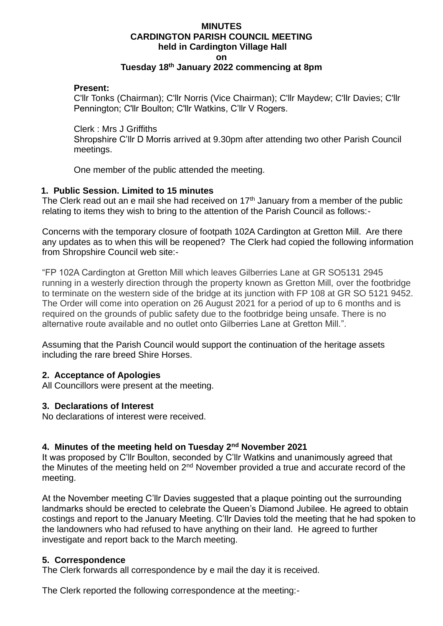#### **MINUTES CARDINGTON PARISH COUNCIL MEETING held in Cardington Village Hall on Tuesday 18th January 2022 commencing at 8pm**

#### **Present:**

C'llr Tonks (Chairman); C'llr Norris (Vice Chairman); C'llr Maydew; C'llr Davies; C'llr Pennington; C'llr Boulton; C'llr Watkins, C'llr V Rogers.

Clerk : Mrs J Griffiths

Shropshire C'llr D Morris arrived at 9.30pm after attending two other Parish Council meetings.

One member of the public attended the meeting.

### **1. Public Session. Limited to 15 minutes**

The Clerk read out an e mail she had received on 17<sup>th</sup> January from a member of the public relating to items they wish to bring to the attention of the Parish Council as follows:-

Concerns with the temporary closure of footpath 102A Cardington at Gretton Mill. Are there any updates as to when this will be reopened? The Clerk had copied the following information from Shropshire Council web site:-

"FP 102A Cardington at Gretton Mill which leaves Gilberries Lane at GR SO5131 2945 running in a westerly direction through the property known as Gretton Mill, over the footbridge to terminate on the western side of the bridge at its junction with FP 108 at GR SO 5121 9452. The Order will come into operation on 26 August 2021 for a period of up to 6 months and is required on the grounds of public safety due to the footbridge being unsafe. There is no alternative route available and no outlet onto Gilberries Lane at Gretton Mill.".

Assuming that the Parish Council would support the continuation of the heritage assets including the rare breed Shire Horses.

### **2. Acceptance of Apologies**

All Councillors were present at the meeting.

### **3. Declarations of Interest**

No declarations of interest were received.

### **4. Minutes of the meeting held on Tuesday 2nd November 2021**

It was proposed by C'llr Boulton, seconded by C'llr Watkins and unanimously agreed that the Minutes of the meeting held on  $2<sup>nd</sup>$  November provided a true and accurate record of the meeting.

At the November meeting C'llr Davies suggested that a plaque pointing out the surrounding landmarks should be erected to celebrate the Queen's Diamond Jubilee. He agreed to obtain costings and report to the January Meeting. C'llr Davies told the meeting that he had spoken to the landowners who had refused to have anything on their land. He agreed to further investigate and report back to the March meeting.

### **5. Correspondence**

The Clerk forwards all correspondence by e mail the day it is received.

The Clerk reported the following correspondence at the meeting:-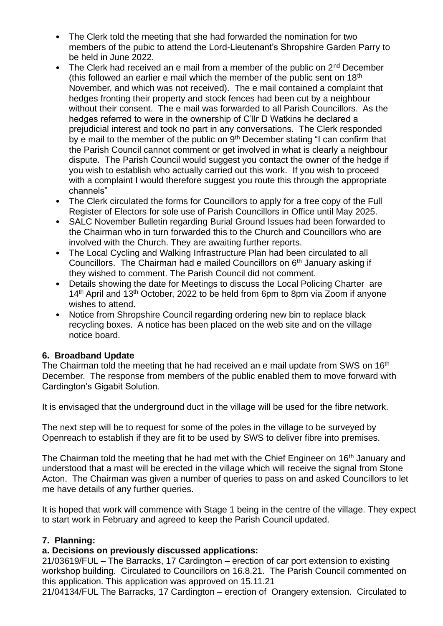- The Clerk told the meeting that she had forwarded the nomination for two members of the pubic to attend the Lord-Lieutenant's Shropshire Garden Parry to be held in June 2022.
- The Clerk had received an e mail from a member of the public on  $2<sup>nd</sup>$  December (this followed an earlier e mail which the member of the public sent on  $18<sup>th</sup>$ November, and which was not received). The e mail contained a complaint that hedges fronting their property and stock fences had been cut by a neighbour without their consent. The e mail was forwarded to all Parish Councillors. As the hedges referred to were in the ownership of C'llr D Watkins he declared a prejudicial interest and took no part in any conversations. The Clerk responded by e mail to the member of the public on 9<sup>th</sup> December stating "I can confirm that the Parish Council cannot comment or get involved in what is clearly a neighbour dispute. The Parish Council would suggest you contact the owner of the hedge if you wish to establish who actually carried out this work. If you wish to proceed with a complaint I would therefore suggest you route this through the appropriate channels"
- The Clerk circulated the forms for Councillors to apply for a free copy of the Full Register of Electors for sole use of Parish Councillors in Office until May 2025.
- SALC November Bulletin regarding Burial Ground Issues had been forwarded to the Chairman who in turn forwarded this to the Church and Councillors who are involved with the Church. They are awaiting further reports.
- The Local Cycling and Walking Infrastructure Plan had been circulated to all Councillors. The Chairman had e mailed Councillors on 6th January asking if they wished to comment. The Parish Council did not comment.
- Details showing the date for Meetings to discuss the Local Policing Charter are  $14<sup>th</sup>$  April and  $13<sup>th</sup>$  October, 2022 to be held from 6pm to 8pm via Zoom if anyone wishes to attend.
- Notice from Shropshire Council regarding ordering new bin to replace black recycling boxes. A notice has been placed on the web site and on the village notice board.

## **6. Broadband Update**

The Chairman told the meeting that he had received an e mail update from SWS on 16<sup>th</sup> December. The response from members of the public enabled them to move forward with Cardington's Gigabit Solution.

It is envisaged that the underground duct in the village will be used for the fibre network.

The next step will be to request for some of the poles in the village to be surveyed by Openreach to establish if they are fit to be used by SWS to deliver fibre into premises.

The Chairman told the meeting that he had met with the Chief Engineer on 16<sup>th</sup> January and understood that a mast will be erected in the village which will receive the signal from Stone Acton. The Chairman was given a number of queries to pass on and asked Councillors to let me have details of any further queries.

It is hoped that work will commence with Stage 1 being in the centre of the village. They expect to start work in February and agreed to keep the Parish Council updated.

## **7. Planning:**

# **a. Decisions on previously discussed applications:**

21/03619/FUL – The Barracks, 17 Cardington – erection of car port extension to existing workshop building. Circulated to Councillors on 16.8.21. The Parish Council commented on this application. This application was approved on 15.11.21

21/04134/FUL The Barracks, 17 Cardington – erection of Orangery extension. Circulated to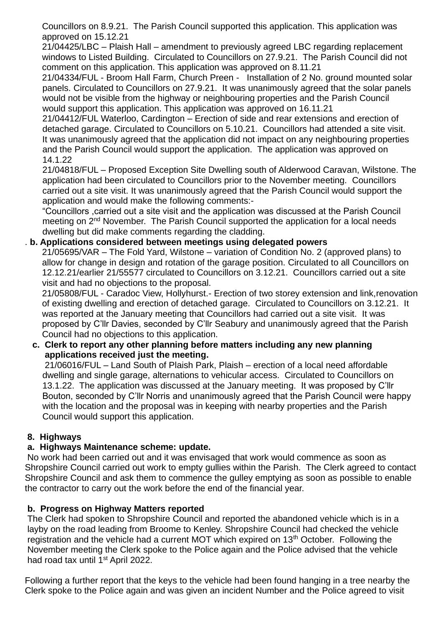Councillors on 8.9.21. The Parish Council supported this application. This application was approved on 15.12.21

21/04425/LBC – Plaish Hall – amendment to previously agreed LBC regarding replacement windows to Listed Building. Circulated to Councillors on 27.9.21. The Parish Council did not comment on this application. This application was approved on 8.11.21

21/04334/FUL - Broom Hall Farm, Church Preen - Installation of 2 No. ground mounted solar panels. Circulated to Councillors on 27.9.21. It was unanimously agreed that the solar panels would not be visible from the highway or neighbouring properties and the Parish Council would support this application. This application was approved on 16.11.21

 21/04412/FUL Waterloo, Cardington – Erection of side and rear extensions and erection of detached garage. Circulated to Councillors on 5.10.21. Councillors had attended a site visit. It was unanimously agreed that the application did not impact on any neighbouring properties and the Parish Council would support the application. The application was approved on 14.1.22

 21/04818/FUL – Proposed Exception Site Dwelling south of Alderwood Caravan, Wilstone. The application had been circulated to Councillors prior to the November meeting. Councillors carried out a site visit. It was unanimously agreed that the Parish Council would support the application and would make the following comments:-

 "Councillors ,carried out a site visit and the application was discussed at the Parish Council meeting on 2<sup>nd</sup> November. The Parish Council supported the application for a local needs dwelling but did make comments regarding the cladding.

## . **b. Applications considered between meetings using delegated powers**

21/05695/VAR – The Fold Yard, Wilstone – variation of Condition No. 2 (approved plans) to allow for change in design and rotation of the garage position. Circulated to all Councillors on 12.12.21/earlier 21/55577 circulated to Councillors on 3.12.21. Councillors carried out a site visit and had no objections to the proposal.

21/05808/FUL - Caradoc View, Hollyhurst.- Erection of two storey extension and link,renovation of existing dwelling and erection of detached garage. Circulated to Councillors on 3.12.21. It was reported at the January meeting that Councillors had carried out a site visit. It was proposed by C'llr Davies, seconded by C'llr Seabury and unanimously agreed that the Parish Council had no objections to this application.

 **c. Clerk to report any other planning before matters including any new planning applications received just the meeting.** 

 21/06016/FUL – Land South of Plaish Park, Plaish – erection of a local need affordable dwelling and single garage, alternations to vehicular access. Circulated to Councillors on 13.1.22. The application was discussed at the January meeting. It was proposed by C'llr Bouton, seconded by C'llr Norris and unanimously agreed that the Parish Council were happy with the location and the proposal was in keeping with nearby properties and the Parish Council would support this application.

## **8. Highways**

## **a. Highways Maintenance scheme: update.**

No work had been carried out and it was envisaged that work would commence as soon as Shropshire Council carried out work to empty gullies within the Parish. The Clerk agreed to contact Shropshire Council and ask them to commence the gulley emptying as soon as possible to enable the contractor to carry out the work before the end of the financial year.

# **b. Progress on Highway Matters reported**

The Clerk had spoken to Shropshire Council and reported the abandoned vehicle which is in a layby on the road leading from Broome to Kenley. Shropshire Council had checked the vehicle registration and the vehicle had a current MOT which expired on 13<sup>th</sup> October. Following the November meeting the Clerk spoke to the Police again and the Police advised that the vehicle had road tax until 1<sup>st</sup> April 2022.

Following a further report that the keys to the vehicle had been found hanging in a tree nearby the Clerk spoke to the Police again and was given an incident Number and the Police agreed to visit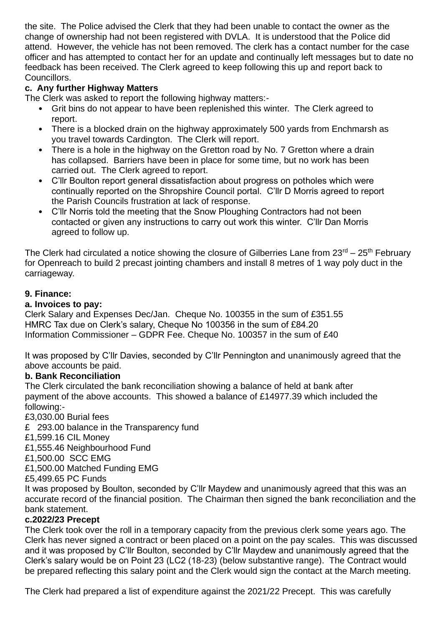the site. The Police advised the Clerk that they had been unable to contact the owner as the change of ownership had not been registered with DVLA. It is understood that the Police did attend. However, the vehicle has not been removed. The clerk has a contact number for the case officer and has attempted to contact her for an update and continually left messages but to date no feedback has been received. The Clerk agreed to keep following this up and report back to Councillors.

# **c. Any further Highway Matters**

The Clerk was asked to report the following highway matters:-

- Grit bins do not appear to have been replenished this winter. The Clerk agreed to report.
- There is a blocked drain on the highway approximately 500 yards from Enchmarsh as you travel towards Cardington. The Clerk will report.
- There is a hole in the highway on the Gretton road by No. 7 Gretton where a drain has collapsed. Barriers have been in place for some time, but no work has been carried out. The Clerk agreed to report.
- C'llr Boulton report general dissatisfaction about progress on potholes which were continually reported on the Shropshire Council portal. C'llr D Morris agreed to report the Parish Councils frustration at lack of response.
- C'llr Norris told the meeting that the Snow Ploughing Contractors had not been contacted or given any instructions to carry out work this winter. C'llr Dan Morris agreed to follow up.

The Clerk had circulated a notice showing the closure of Gilberries Lane from  $23^{\text{rd}} - 25^{\text{th}}$  February for Openreach to build 2 precast jointing chambers and install 8 metres of 1 way poly duct in the carriageway.

## **9. Finance:**

## **a. Invoices to pay:**

Clerk Salary and Expenses Dec/Jan. Cheque No. 100355 in the sum of £351.55 HMRC Tax due on Clerk's salary, Cheque No 100356 in the sum of £84.20 Information Commissioner – GDPR Fee. Cheque No. 100357 in the sum of £40

It was proposed by C'llr Davies, seconded by C'llr Pennington and unanimously agreed that the above accounts be paid.

## **b. Bank Reconciliation**

The Clerk circulated the bank reconciliation showing a balance of held at bank after payment of the above accounts. This showed a balance of £14977.39 which included the following:-

£3,030.00 Burial fees

£ 293.00 balance in the Transparency fund

£1,599.16 CIL Money

£1,555.46 Neighbourhood Fund

£1,500.00 SCC EMG

£1,500.00 Matched Funding EMG

£5,499.65 PC Funds

It was proposed by Boulton, seconded by C'llr Maydew and unanimously agreed that this was an accurate record of the financial position. The Chairman then signed the bank reconciliation and the bank statement.

## **c.2022/23 Precept**

The Clerk took over the roll in a temporary capacity from the previous clerk some years ago. The Clerk has never signed a contract or been placed on a point on the pay scales. This was discussed and it was proposed by C'llr Boulton, seconded by C'llr Maydew and unanimously agreed that the Clerk's salary would be on Point 23 (LC2 (18-23) (below substantive range). The Contract would be prepared reflecting this salary point and the Clerk would sign the contact at the March meeting.

The Clerk had prepared a list of expenditure against the 2021/22 Precept. This was carefully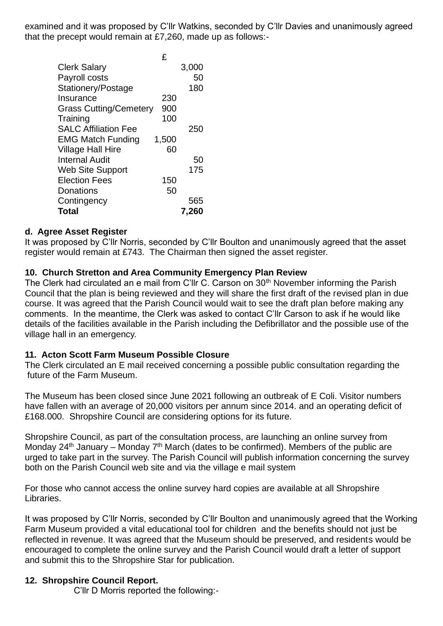examined and it was proposed by C'llr Watkins, seconded by C'llr Davies and unanimously agreed that the precept would remain at £7,260, made up as follows:-

|                               | £     |       |
|-------------------------------|-------|-------|
| <b>Clerk Salary</b>           |       | 3,000 |
| Payroll costs                 |       | 50    |
| Stationery/Postage            |       | 180   |
| Insurance                     | 230   |       |
| <b>Grass Cutting/Cemetery</b> | 900   |       |
| Training                      | 100   |       |
| <b>SALC Affiliation Fee</b>   |       | 250   |
| <b>EMG Match Funding</b>      | 1,500 |       |
| <b>Village Hall Hire</b>      | 60    |       |
| <b>Internal Audit</b>         |       | 50    |
| <b>Web Site Support</b>       |       | 175   |
| <b>Election Fees</b>          | 150   |       |
| Donations                     | 50    |       |
| Contingency                   |       | 565   |
| Total                         |       | 7,260 |

### **d. Agree Asset Register**

It was proposed by C'llr Norris, seconded by C'llr Boulton and unanimously agreed that the asset register would remain at £743. The Chairman then signed the asset register.

### **10. Church Stretton and Area Community Emergency Plan Review**

The Clerk had circulated an e mail from C'llr C. Carson on 30<sup>th</sup> November informing the Parish Council that the plan is being reviewed and they will share the first draft of the revised plan in due course. It was agreed that the Parish Council would wait to see the draft plan before making any comments. In the meantime, the Clerk was asked to contact C'llr Carson to ask if he would like details of the facilities available in the Parish including the Defibrillator and the possible use of the village hall in an emergency.

### **11. Acton Scott Farm Museum Possible Closure**

The Clerk circulated an E mail received concerning a possible public consultation regarding the future of the Farm Museum.

The Museum has been closed since June 2021 following an outbreak of E Coli. Visitor numbers have fallen with an average of 20,000 visitors per annum since 2014. and an operating deficit of £168.000. Shropshire Council are considering options for its future.

Shropshire Council, as part of the consultation process, are launching an online survey from Monday 24<sup>th</sup> January – Monday 7<sup>th</sup> March (dates to be confirmed). Members of the public are urged to take part in the survey. The Parish Council will publish information concerning the survey both on the Parish Council web site and via the village e mail system

For those who cannot access the online survey hard copies are available at all Shropshire Libraries.

It was proposed by C'llr Norris, seconded by C'llr Boulton and unanimously agreed that the Working Farm Museum provided a vital educational tool for children and the benefits should not just be reflected in revenue. It was agreed that the Museum should be preserved, and residents would be encouraged to complete the online survey and the Parish Council would draft a letter of support and submit this to the Shropshire Star for publication.

### **12. Shropshire Council Report.**

C'llr D Morris reported the following:-